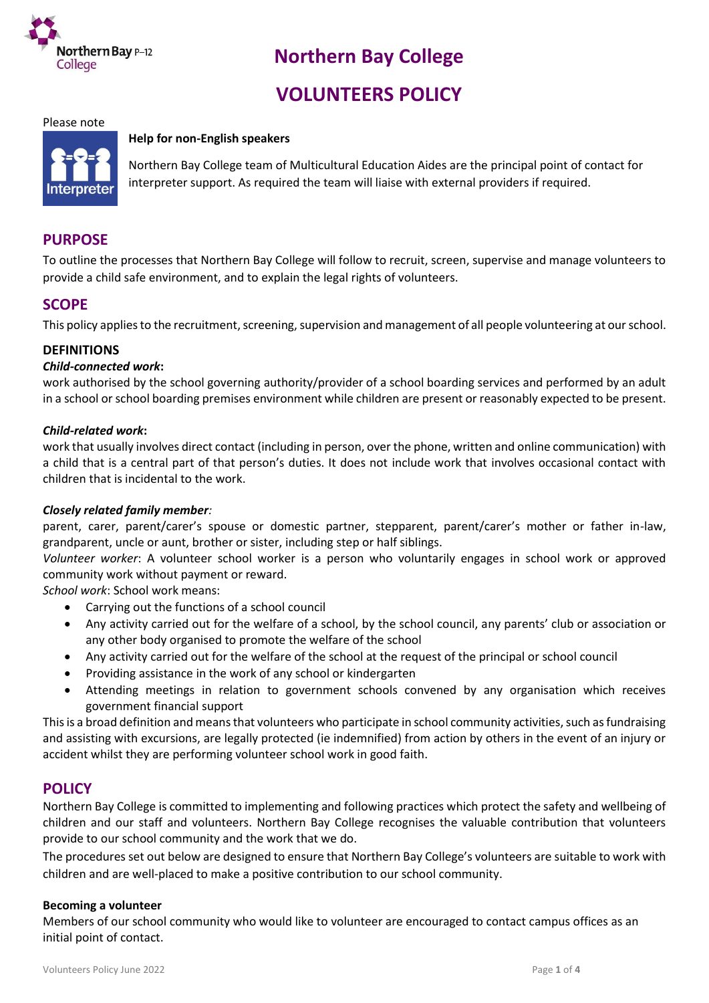

# **Northern Bay College**

# **VOLUNTEERS POLICY**

#### Please note

#### **Help for non-English speakers**



Northern Bay College team of Multicultural Education Aides are the principal point of contact for interpreter support. As required the team will liaise with external providers if required.

## **PURPOSE**

To outline the processes that Northern Bay College will follow to recruit, screen, supervise and manage volunteers to provide a child safe environment, and to explain the legal rights of volunteers.

## **SCOPE**

This policy applies to the recruitment, screening, supervision and management of all people volunteering at our school.

#### **DEFINITIONS**

#### *Child-connected work***:**

work authorised by the school governing authority/provider of a school boarding services and performed by an adult in a school or school boarding premises environment while children are present or reasonably expected to be present.

#### *Child-related work***:**

work that usually involves direct contact (including in person, over the phone, written and online communication) with a child that is a central part of that person's duties. It does not include work that involves occasional contact with children that is incidental to the work.

#### *Closely related family member:*

parent, carer, parent/carer's spouse or domestic partner, stepparent, parent/carer's mother or father in-law, grandparent, uncle or aunt, brother or sister, including step or half siblings.

*Volunteer worker*: A volunteer school worker is a person who voluntarily engages in school work or approved community work without payment or reward.

*School work*: School work means:

- Carrying out the functions of a school council
- Any activity carried out for the welfare of a school, by the school council, any parents' club or association or any other body organised to promote the welfare of the school
- Any activity carried out for the welfare of the school at the request of the principal or school council
- Providing assistance in the work of any school or kindergarten
- Attending meetings in relation to government schools convened by any organisation which receives government financial support

This is a broad definition and means that volunteers who participate in school community activities, such as fundraising and assisting with excursions, are legally protected (ie indemnified) from action by others in the event of an injury or accident whilst they are performing volunteer school work in good faith.

## **POLICY**

Northern Bay College is committed to implementing and following practices which protect the safety and wellbeing of children and our staff and volunteers. Northern Bay College recognises the valuable contribution that volunteers provide to our school community and the work that we do.

The procedures set out below are designed to ensure that Northern Bay College's volunteers are suitable to work with children and are well-placed to make a positive contribution to our school community.

#### **Becoming a volunteer**

Members of our school community who would like to volunteer are encouraged to contact campus offices as an initial point of contact.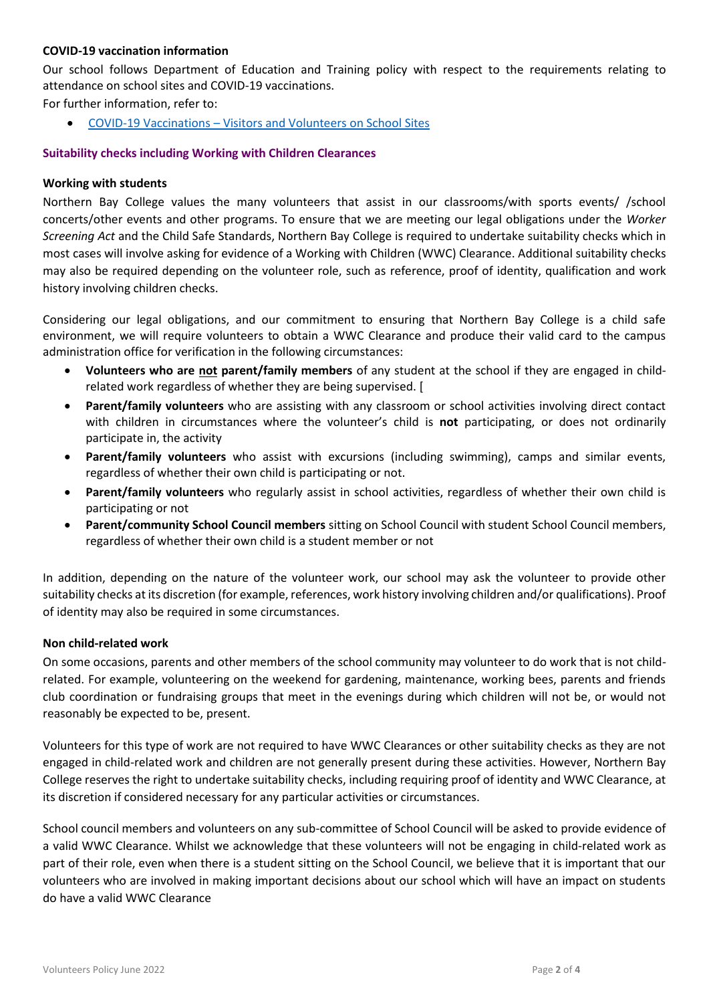#### **COVID-19 vaccination information**

Our school follows Department of Education and Training policy with respect to the requirements relating to attendance on school sites and COVID-19 vaccinations.

For further information, refer to:

COVID-19 Vaccinations – [Visitors and Volunteers on School Sites](https://www2.education.vic.gov.au/pal/covid-19-vaccinations-visitors-volunteers/policy)

#### **Suitability checks including Working with Children Clearances**

#### **Working with students**

Northern Bay College values the many volunteers that assist in our classrooms/with sports events/ /school concerts/other events and other programs. To ensure that we are meeting our legal obligations under the *Worker Screening Act* and the Child Safe Standards, Northern Bay College is required to undertake suitability checks which in most cases will involve asking for evidence of a Working with Children (WWC) Clearance. Additional suitability checks may also be required depending on the volunteer role, such as reference, proof of identity, qualification and work history involving children checks.

Considering our legal obligations, and our commitment to ensuring that Northern Bay College is a child safe environment, we will require volunteers to obtain a WWC Clearance and produce their valid card to the campus administration office for verification in the following circumstances:

- **Volunteers who are not parent/family members** of any student at the school if they are engaged in childrelated work regardless of whether they are being supervised. [
- **Parent/family volunteers** who are assisting with any classroom or school activities involving direct contact with children in circumstances where the volunteer's child is **not** participating, or does not ordinarily participate in, the activity
- **Parent/family volunteers** who assist with excursions (including swimming), camps and similar events, regardless of whether their own child is participating or not.
- **Parent/family volunteers** who regularly assist in school activities, regardless of whether their own child is participating or not
- **Parent/community School Council members** sitting on School Council with student School Council members, regardless of whether their own child is a student member or not

In addition, depending on the nature of the volunteer work, our school may ask the volunteer to provide other suitability checks at its discretion (for example, references, work history involving children and/or qualifications). Proof of identity may also be required in some circumstances.

#### **Non child-related work**

On some occasions, parents and other members of the school community may volunteer to do work that is not childrelated. For example, volunteering on the weekend for gardening, maintenance, working bees, parents and friends club coordination or fundraising groups that meet in the evenings during which children will not be, or would not reasonably be expected to be, present.

Volunteers for this type of work are not required to have WWC Clearances or other suitability checks as they are not engaged in child-related work and children are not generally present during these activities. However, Northern Bay College reserves the right to undertake suitability checks, including requiring proof of identity and WWC Clearance, at its discretion if considered necessary for any particular activities or circumstances.

School council members and volunteers on any sub-committee of School Council will be asked to provide evidence of a valid WWC Clearance. Whilst we acknowledge that these volunteers will not be engaging in child-related work as part of their role, even when there is a student sitting on the School Council, we believe that it is important that our volunteers who are involved in making important decisions about our school which will have an impact on students do have a valid WWC Clearance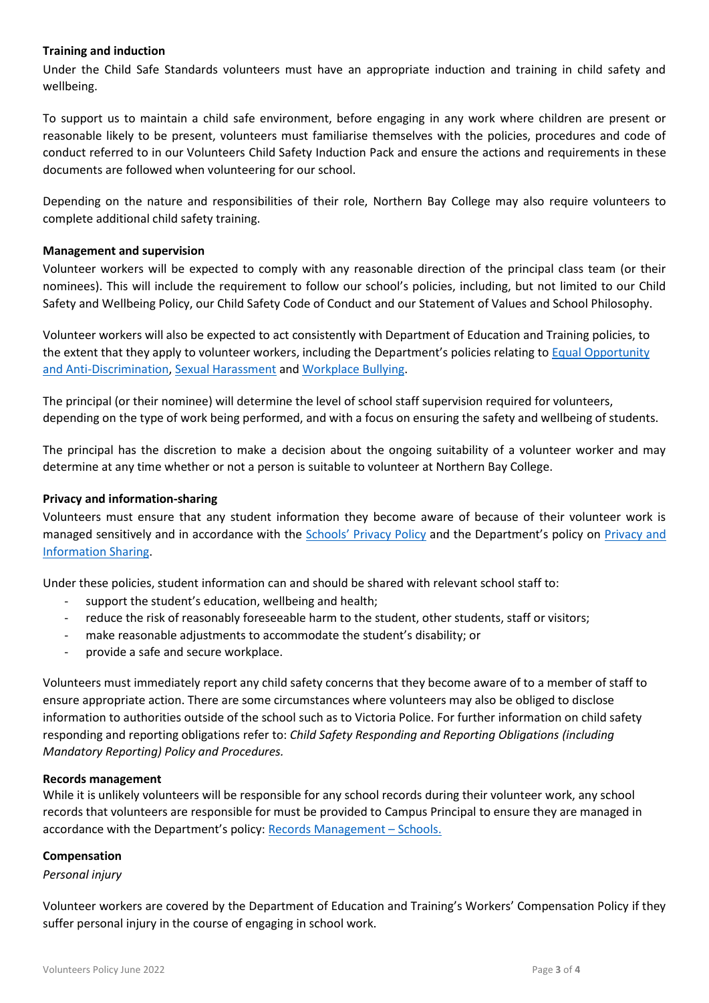#### **Training and induction**

Under the Child Safe Standards volunteers must have an appropriate induction and training in child safety and wellbeing.

To support us to maintain a child safe environment, before engaging in any work where children are present or reasonable likely to be present, volunteers must familiarise themselves with the policies, procedures and code of conduct referred to in our Volunteers Child Safety Induction Pack and ensure the actions and requirements in these documents are followed when volunteering for our school.

Depending on the nature and responsibilities of their role, Northern Bay College may also require volunteers to complete additional child safety training.

#### **Management and supervision**

Volunteer workers will be expected to comply with any reasonable direction of the principal class team (or their nominees). This will include the requirement to follow our school's policies, including, but not limited to our Child Safety and Wellbeing Policy, our Child Safety Code of Conduct and our Statement of Values and School Philosophy.

Volunteer workers will also be expected to act consistently with Department of Education and Training policies, to the extent that they apply to volunteer workers, including the Department's policies relating to [Equal Opportunity](https://www2.education.vic.gov.au/pal/equal-opportunity/policy-and-guidelines)  [and Anti-Discrimination,](https://www2.education.vic.gov.au/pal/equal-opportunity/policy-and-guidelines) [Sexual Harassment](https://www2.education.vic.gov.au/pal/sexual-harassment/overview) an[d Workplace Bullying.](https://www2.education.vic.gov.au/pal/workplace-bullying/policy)

The principal (or their nominee) will determine the level of school staff supervision required for volunteers, depending on the type of work being performed, and with a focus on ensuring the safety and wellbeing of students.

The principal has the discretion to make a decision about the ongoing suitability of a volunteer worker and may determine at any time whether or not a person is suitable to volunteer at Northern Bay College.

#### **Privacy and information-sharing**

Volunteers must ensure that any student information they become aware of because of their volunteer work is managed sensitively and in accordance with the [Schools' Privacy Policy](https://www.education.vic.gov.au/Pages/schoolsprivacypolicy.aspx) and the Department's policy on Privacy and [Information Sharing.](https://www2.education.vic.gov.au/pal/privacy-information-sharing/policy)

Under these policies, student information can and should be shared with relevant school staff to:

- support the student's education, wellbeing and health;
- reduce the risk of reasonably foreseeable harm to the student, other students, staff or visitors;
- make reasonable adjustments to accommodate the student's disability; or
- provide a safe and secure workplace.

Volunteers must immediately report any child safety concerns that they become aware of to a member of staff to ensure appropriate action. There are some circumstances where volunteers may also be obliged to disclose information to authorities outside of the school such as to Victoria Police. For further information on child safety responding and reporting obligations refer to: *Child Safety Responding and Reporting Obligations (including Mandatory Reporting) Policy and Procedures.* 

#### **Records management**

While it is unlikely volunteers will be responsible for any school records during their volunteer work, any school records that volunteers are responsible for must be provided to Campus Principal to ensure they are managed in accordance with the Department's policy: [Records Management](https://www2.education.vic.gov.au/pal/records-management/policy) – Schools.

#### **Compensation**

#### *Personal injury*

Volunteer workers are covered by the Department of Education and Training's Workers' Compensation Policy if they suffer personal injury in the course of engaging in school work.